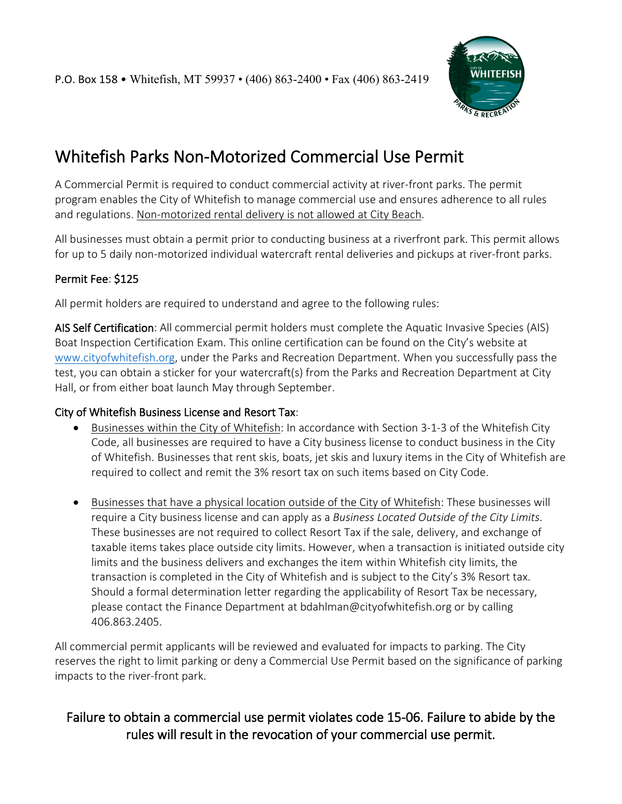

# Whitefish Parks Non-Motorized Commercial Use Permit

A Commercial Permit is required to conduct commercial activity at river-front parks. The permit program enables the City of Whitefish to manage commercial use and ensures adherence to all rules and regulations. Non-motorized rental delivery is not allowed at City Beach.

All businesses must obtain a permit prior to conducting business at a riverfront park. This permit allows for up to 5 daily non-motorized individual watercraft rental deliveries and pickups at river-front parks.

#### Permit Fee: \$125

All permit holders are required to understand and agree to the following rules:

AIS Self Certification: All commercial permit holders must complete the Aquatic Invasive Species (AIS) Boat Inspection Certification Exam. This online certification can be found on the City's website at [www.cityofwhitefish.org,](http://www.cityofwhitefish.org/) under the Parks and Recreation Department. When you successfully pass the test, you can obtain a sticker for your watercraft(s) from the Parks and Recreation Department at City Hall, or from either boat launch May through September.

#### City of Whitefish Business License and Resort Tax:

- Businesses within the City of Whitefish: In accordance with Section 3-1-3 of the Whitefish City Code, all businesses are required to have a City business license to conduct business in the City of Whitefish. Businesses that rent skis, boats, jet skis and luxury items in the City of Whitefish are required to collect and remit the 3% resort tax on such items based on City Code.
- Businesses that have a physical location outside of the City of Whitefish: These businesses will require a City business license and can apply as a *Business Located Outside of the City Limits*. These businesses are not required to collect Resort Tax if the sale, delivery, and exchange of taxable items takes place outside city limits. However, when a transaction is initiated outside city limits and the business delivers and exchanges the item within Whitefish city limits, the transaction is completed in the City of Whitefish and is subject to the City's 3% Resort tax. Should a formal determination letter regarding the applicability of Resort Tax be necessary, please contact the Finance Department at bdahlman@cityofwhitefish.org or by calling 406.863.2405.

All commercial permit applicants will be reviewed and evaluated for impacts to parking. The City reserves the right to limit parking or deny a Commercial Use Permit based on the significance of parking impacts to the river-front park.

### Failure to obtain a commercial use permit violates code 15-06. Failure to abide by the rules will result in the revocation of your commercial use permit.